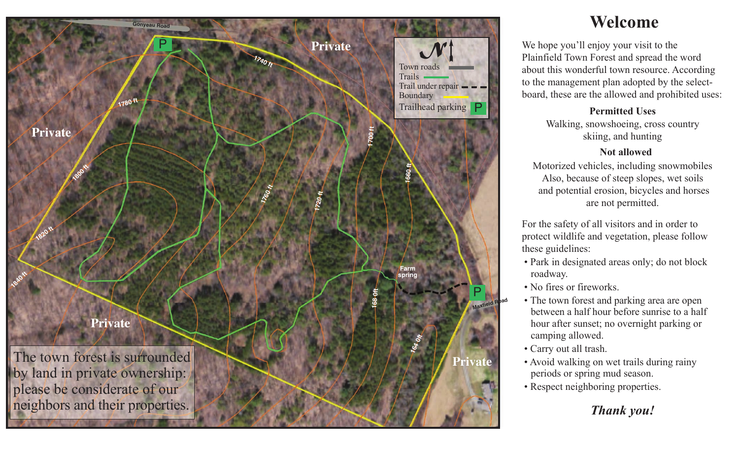

# **Welcome**

We hope you'll enjoy your visit to the Plainfield Town Forest and spread the word about this wonderful town resource. According to the management plan adopted by the selectboard, these are the allowed and prohibited uses:

### **Permitted Uses**

Walking, snowshoeing, cross country skiing, and hunting

#### **Not allowed**

Motorized vehicles, including snowmobiles Also, because of steep slopes, wet soils and potential erosion, bicycles and horses are not permitted.

For the safety of all visitors and in order to protect wildlife and vegetation, please follow these guidelines:

- Park in designated areas only; do not block roadway.
- No fires or fireworks.
- The town forest and parking area are open between a half hour before sunrise to a half hour after sunset; no overnight parking or camping allowed.
- Carry out all trash.
- Avoid walking on wet trails during rainy periods or spring mud season.
- Respect neighboring properties.

## *Thank you!*